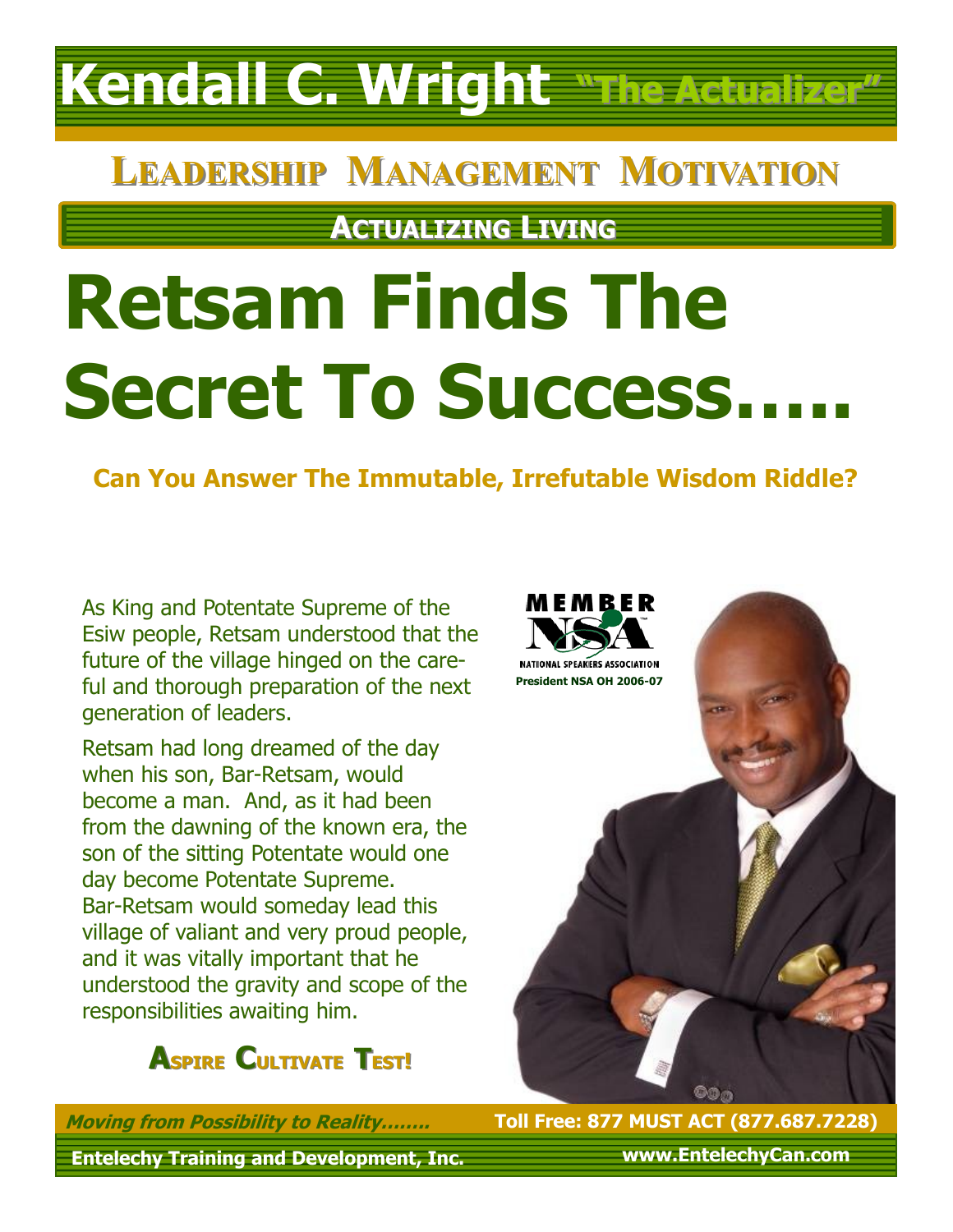## **Kendall C. Wright "The Actualizer"**

### **LEADERSHIP MANAGEMENT MOTIVATION**

**ACTUALIZING LIVING**

# **Retsam Finds The Secret To Success…..**

**Can You Answer The Immutable, Irrefutable Wisdom Riddle?**

As King and Potentate Supreme of the Esiw people, Retsam understood that the future of the village hinged on the careful and thorough preparation of the next generation of leaders.

Retsam had long dreamed of the day when his son, Bar-Retsam, would become a man. And, as it had been from the dawning of the known era, the son of the sitting Potentate would one day become Potentate Supreme. Bar-Retsam would someday lead this village of valiant and very proud people, and it was vitally important that he understood the gravity and scope of the responsibilities awaiting him.



**Entelechy Training and Development, Inc. Moving from Possibility to Reality……..**



**Toll Free: 877 MUST ACT (877.687.7228)**

**www.EntelechyCan.com**